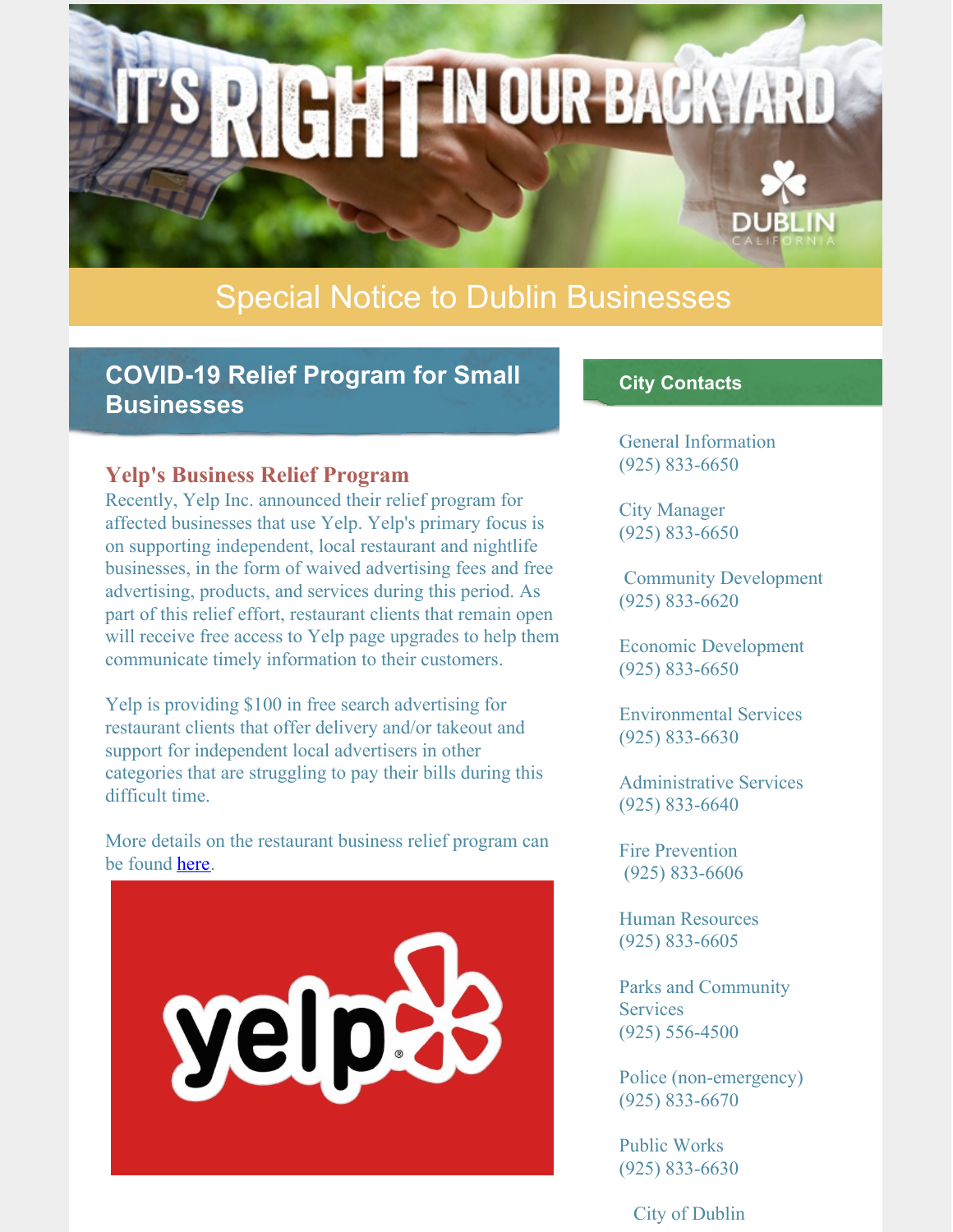# RIGHT IN OUR BACKYARD **DUBLIN**

# Special Notice to Dublin Businesses

# **COVID-19 Relief Program for Small Businesses**

#### **Yelp's Business Relief Program**

Recently, Yelp Inc. announced their relief program for affected businesses that use Yelp. Yelp's primary focus is on supporting independent, local restaurant and nightlife businesses, in the form of waived advertising fees and free advertising, products, and services during this period. As part of this relief effort, restaurant clients that remain open will receive free access to Yelp page upgrades to help them communicate timely information to their customers.

Yelp is providing \$100 in free search advertising for restaurant clients that offer delivery and/or takeout and support for independent local advertisers in other categories that are struggling to pay their bills during this difficult time.

More details on the restaurant business relief program can be found [here](https://blog.yelp.com/2020/03/coronavirus-relief-for-restaurants-and-bars?utm_source=news_blog&utm_medium=yelp_blog).



#### **City Contacts**

General Information (925) 833-6650

City Manager (925) 833-6650

Community Development (925) 833-6620

Economic Development (925) 833-6650

Environmental Services (925) 833-6630

Administrative Services (925) 833-6640

Fire Prevention (925) 833-6606

Human Resources (925) 833-6605

Parks and Community **Services** (925) 556-4500

Police (non-emergency) (925) 833-6670

Public Works (925) 833-6630

City of Dublin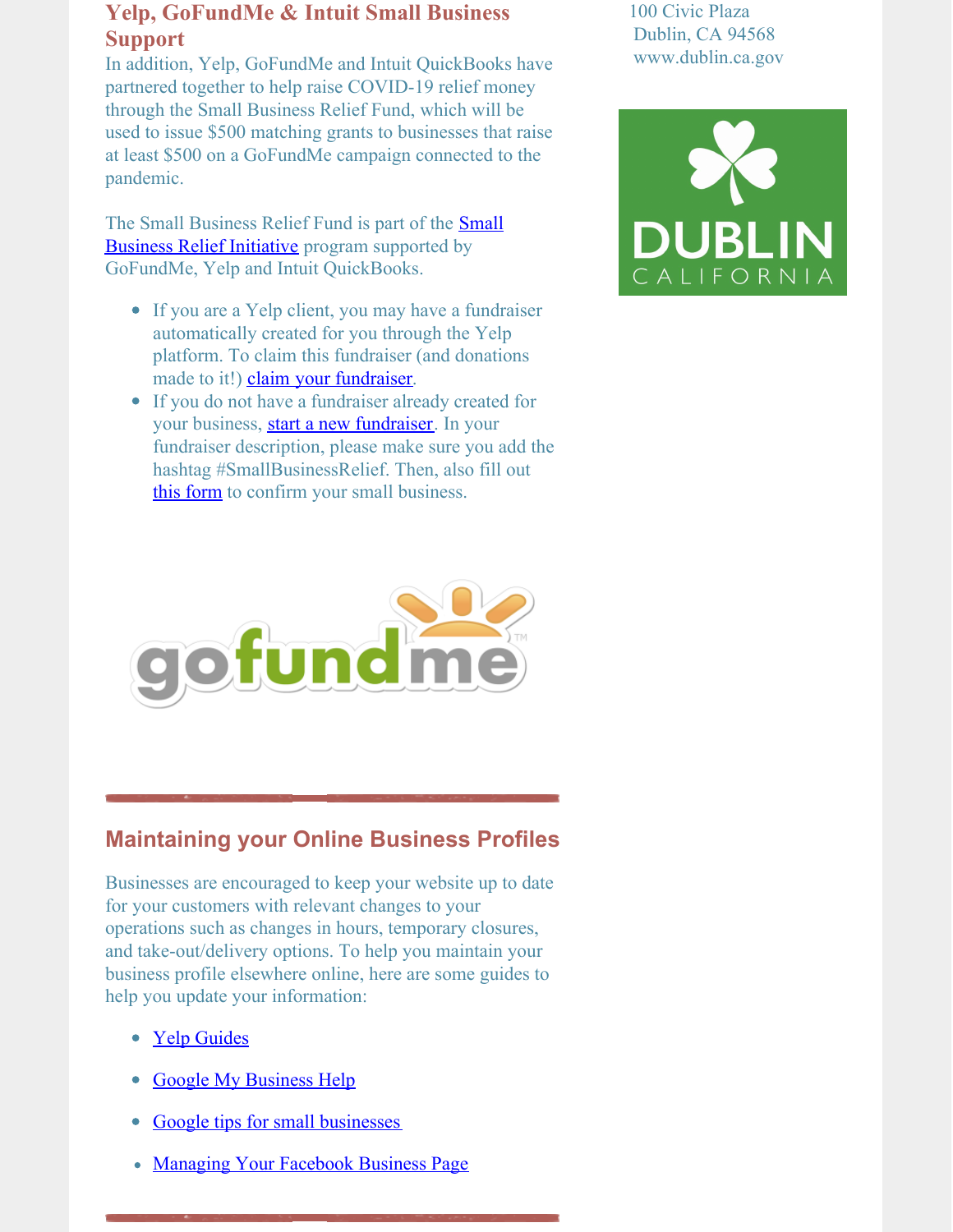### **Yelp, GoFundMe & Intuit Small Business Support**

In addition, Yelp, GoFundMe and Intuit QuickBooks have partnered together to help raise COVID-19 relief money through the Small Business Relief Fund, which will be used to issue \$500 matching grants to businesses that raise at least \$500 on a GoFundMe campaign connected to the pandemic.

The Small Business Relief Fund is part of the **Small Business Relief Initiative** program [supported](https://www.gofundme.com/c/small-business-relief-initiative-and-fund-faqs) by GoFundMe, Yelp and Intuit QuickBooks.

- If you are a Yelp client, you may have a fundraiser automatically created for you through the Yelp platform. To claim this fundraiser (and donations made to it!) claim your [fundraiser](https://support.gofundme.com/hc/en-us/requests/new?ticket_form_id=360000760611).
- If you do not have a fundraiser already created for your business, start a new [fundraiser](http://gofundme.com/sign-up). In your fundraiser description, please make sure you add the hashtag #SmallBusinessRelief. Then, also fill out this [form](https://support.gofundme.com/hc/en-us/requests/new?ticket_form_id=360000765092) to confirm your small business.







## **Maintaining your Online Business Profiles**

Businesses are encouraged to keep your website up to date for your customers with relevant changes to your operations such as changes in hours, temporary closures, and take-out/delivery options. To help you maintain your business profile elsewhere online, here are some guides to help you update your information:

- Yelp [Guides](https://blog.yelp.com/2020/03/updating-hours-temporary-closures-service-options?utm_source=biz_blog&utm_medium=yelp_blog&utm_content=blog_text_link)
- Google My [Business](https://support.google.com/business/answer/9773423) Help
- Google tips for small [businesses](https://smallbusiness.withgoogle.com/news/resources-for-smbs-impacted-by-coronavirus#!/)  $\bullet$
- [Managing](https://www.facebook.com/help/135275340210354) Your Facebook Business Page